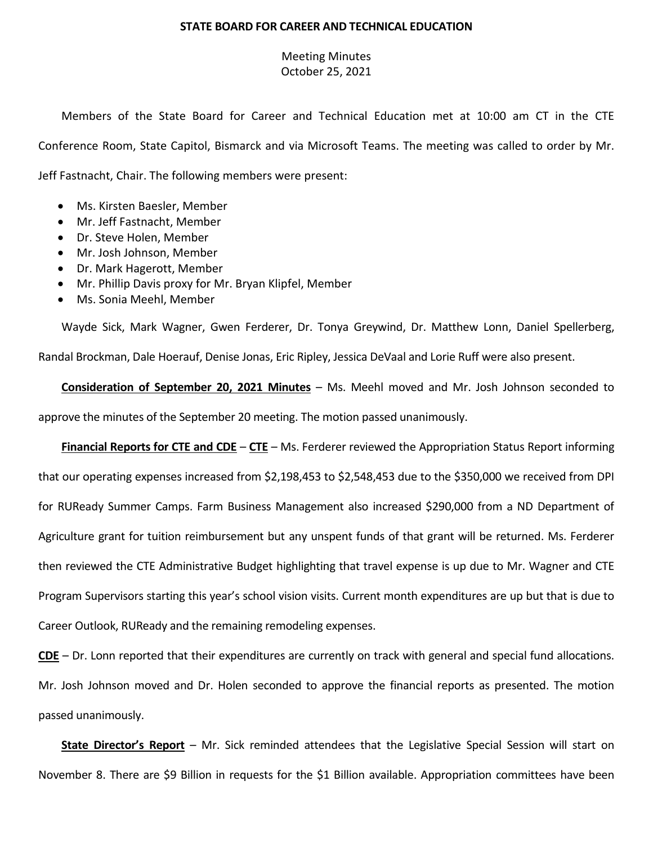## **STATE BOARD FOR CAREER AND TECHNICAL EDUCATION**

## Meeting Minutes October 25, 2021

Members of the State Board for Career and Technical Education met at 10:00 am CT in the CTE Conference Room, State Capitol, Bismarck and via Microsoft Teams. The meeting was called to order by Mr. Jeff Fastnacht, Chair. The following members were present:

- Ms. Kirsten Baesler, Member
- Mr. Jeff Fastnacht, Member
- Dr. Steve Holen, Member
- Mr. Josh Johnson, Member
- Dr. Mark Hagerott, Member
- Mr. Phillip Davis proxy for Mr. Bryan Klipfel, Member
- Ms. Sonia Meehl, Member

Wayde Sick, Mark Wagner, Gwen Ferderer, Dr. Tonya Greywind, Dr. Matthew Lonn, Daniel Spellerberg, Randal Brockman, Dale Hoerauf, Denise Jonas, Eric Ripley, Jessica DeVaal and Lorie Ruff were also present.

**Consideration of September 20, 2021 Minutes** – Ms. Meehl moved and Mr. Josh Johnson seconded to approve the minutes of the September 20 meeting. The motion passed unanimously.

**Financial Reports for CTE and CDE** – **CTE** – Ms. Ferderer reviewed the Appropriation Status Report informing that our operating expenses increased from \$2,198,453 to \$2,548,453 due to the \$350,000 we received from DPI for RUReady Summer Camps. Farm Business Management also increased \$290,000 from a ND Department of Agriculture grant for tuition reimbursement but any unspent funds of that grant will be returned. Ms. Ferderer then reviewed the CTE Administrative Budget highlighting that travel expense is up due to Mr. Wagner and CTE Program Supervisors starting this year's school vision visits. Current month expenditures are up but that is due to Career Outlook, RUReady and the remaining remodeling expenses.

**CDE** – Dr. Lonn reported that their expenditures are currently on track with general and special fund allocations. Mr. Josh Johnson moved and Dr. Holen seconded to approve the financial reports as presented. The motion passed unanimously.

**State Director's Report** – Mr. Sick reminded attendees that the Legislative Special Session will start on November 8. There are \$9 Billion in requests for the \$1 Billion available. Appropriation committees have been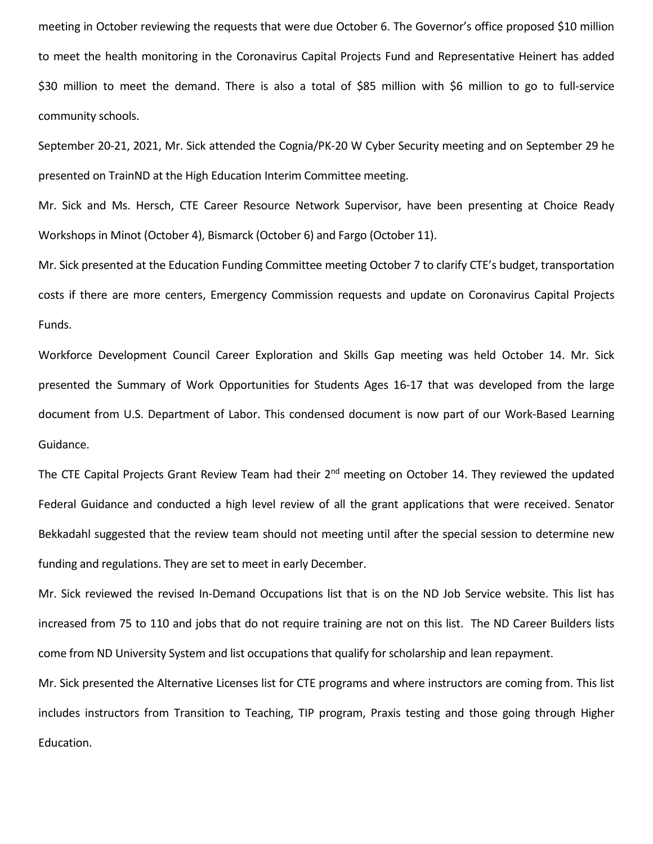meeting in October reviewing the requests that were due October 6. The Governor's office proposed \$10 million to meet the health monitoring in the Coronavirus Capital Projects Fund and Representative Heinert has added \$30 million to meet the demand. There is also a total of \$85 million with \$6 million to go to full-service community schools.

September 20-21, 2021, Mr. Sick attended the Cognia/PK-20 W Cyber Security meeting and on September 29 he presented on TrainND at the High Education Interim Committee meeting.

Mr. Sick and Ms. Hersch, CTE Career Resource Network Supervisor, have been presenting at Choice Ready Workshops in Minot (October 4), Bismarck (October 6) and Fargo (October 11).

Mr. Sick presented at the Education Funding Committee meeting October 7 to clarify CTE's budget, transportation costs if there are more centers, Emergency Commission requests and update on Coronavirus Capital Projects Funds.

Workforce Development Council Career Exploration and Skills Gap meeting was held October 14. Mr. Sick presented the Summary of Work Opportunities for Students Ages 16-17 that was developed from the large document from U.S. Department of Labor. This condensed document is now part of our Work-Based Learning Guidance.

The CTE Capital Projects Grant Review Team had their 2<sup>nd</sup> meeting on October 14. They reviewed the updated Federal Guidance and conducted a high level review of all the grant applications that were received. Senator Bekkadahl suggested that the review team should not meeting until after the special session to determine new funding and regulations. They are set to meet in early December.

Mr. Sick reviewed the revised In-Demand Occupations list that is on the ND Job Service website. This list has increased from 75 to 110 and jobs that do not require training are not on this list. The ND Career Builders lists come from ND University System and list occupations that qualify for scholarship and lean repayment.

Mr. Sick presented the Alternative Licenses list for CTE programs and where instructors are coming from. This list includes instructors from Transition to Teaching, TIP program, Praxis testing and those going through Higher Education.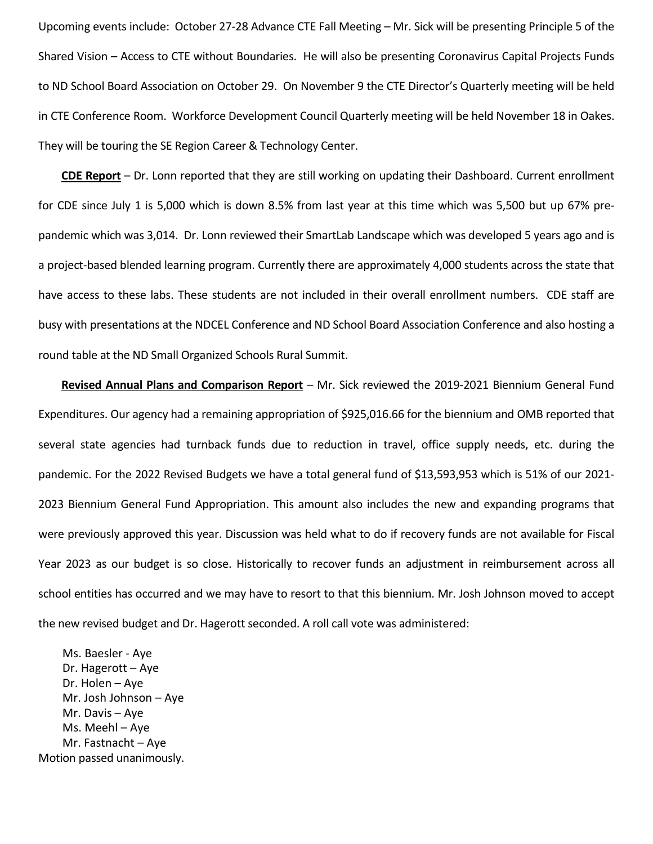Upcoming events include: October 27-28 Advance CTE Fall Meeting – Mr. Sick will be presenting Principle 5 of the Shared Vision – Access to CTE without Boundaries. He will also be presenting Coronavirus Capital Projects Funds to ND School Board Association on October 29. On November 9 the CTE Director's Quarterly meeting will be held in CTE Conference Room. Workforce Development Council Quarterly meeting will be held November 18 in Oakes. They will be touring the SE Region Career & Technology Center.

**CDE Report** – Dr. Lonn reported that they are still working on updating their Dashboard. Current enrollment for CDE since July 1 is 5,000 which is down 8.5% from last year at this time which was 5,500 but up 67% prepandemic which was 3,014. Dr. Lonn reviewed their SmartLab Landscape which was developed 5 years ago and is a project-based blended learning program. Currently there are approximately 4,000 students across the state that have access to these labs. These students are not included in their overall enrollment numbers. CDE staff are busy with presentations at the NDCEL Conference and ND School Board Association Conference and also hosting a round table at the ND Small Organized Schools Rural Summit.

**Revised Annual Plans and Comparison Report** – Mr. Sick reviewed the 2019-2021 Biennium General Fund Expenditures. Our agency had a remaining appropriation of \$925,016.66 for the biennium and OMB reported that several state agencies had turnback funds due to reduction in travel, office supply needs, etc. during the pandemic. For the 2022 Revised Budgets we have a total general fund of \$13,593,953 which is 51% of our 2021- 2023 Biennium General Fund Appropriation. This amount also includes the new and expanding programs that were previously approved this year. Discussion was held what to do if recovery funds are not available for Fiscal Year 2023 as our budget is so close. Historically to recover funds an adjustment in reimbursement across all school entities has occurred and we may have to resort to that this biennium. Mr. Josh Johnson moved to accept the new revised budget and Dr. Hagerott seconded. A roll call vote was administered:

Ms. Baesler - Aye Dr. Hagerott – Aye Dr. Holen – Aye Mr. Josh Johnson – Aye Mr. Davis – Aye Ms. Meehl – Aye Mr. Fastnacht – Aye Motion passed unanimously.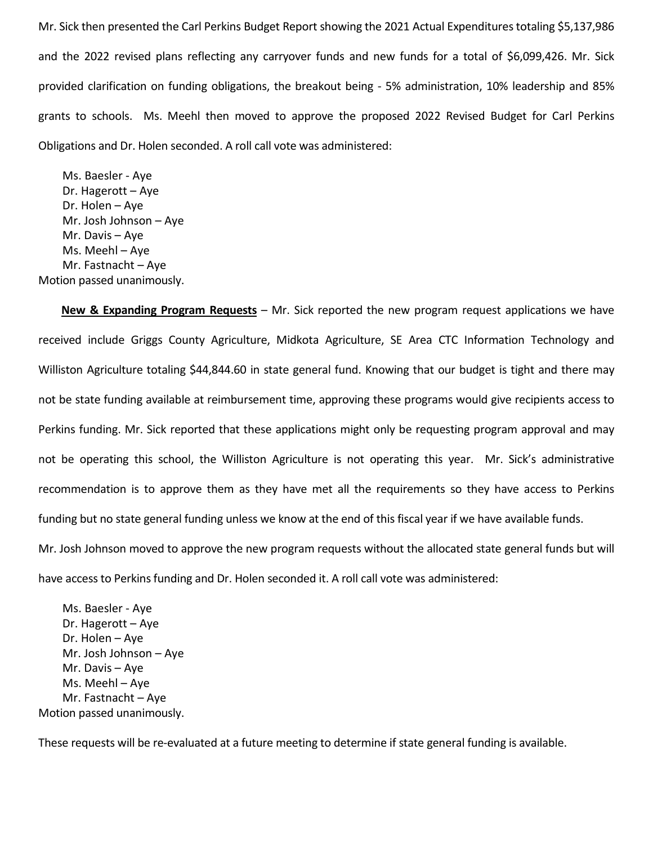Mr. Sick then presented the Carl Perkins Budget Report showing the 2021 Actual Expenditures totaling \$5,137,986 and the 2022 revised plans reflecting any carryover funds and new funds for a total of \$6,099,426. Mr. Sick provided clarification on funding obligations, the breakout being - 5% administration, 10% leadership and 85% grants to schools. Ms. Meehl then moved to approve the proposed 2022 Revised Budget for Carl Perkins Obligations and Dr. Holen seconded. A roll call vote was administered:

Ms. Baesler - Aye Dr. Hagerott – Aye Dr. Holen – Aye Mr. Josh Johnson – Aye Mr. Davis – Aye Ms. Meehl – Aye Mr. Fastnacht – Aye Motion passed unanimously.

**New & Expanding Program Requests** – Mr. Sick reported the new program request applications we have received include Griggs County Agriculture, Midkota Agriculture, SE Area CTC Information Technology and Williston Agriculture totaling \$44,844.60 in state general fund. Knowing that our budget is tight and there may not be state funding available at reimbursement time, approving these programs would give recipients access to Perkins funding. Mr. Sick reported that these applications might only be requesting program approval and may not be operating this school, the Williston Agriculture is not operating this year. Mr. Sick's administrative recommendation is to approve them as they have met all the requirements so they have access to Perkins funding but no state general funding unless we know at the end of this fiscal year if we have available funds.

Mr. Josh Johnson moved to approve the new program requests without the allocated state general funds but will have access to Perkins funding and Dr. Holen seconded it. A roll call vote was administered:

Ms. Baesler - Aye Dr. Hagerott – Aye Dr. Holen – Aye Mr. Josh Johnson – Aye Mr. Davis – Aye Ms. Meehl – Aye Mr. Fastnacht – Aye Motion passed unanimously.

These requests will be re-evaluated at a future meeting to determine if state general funding is available.